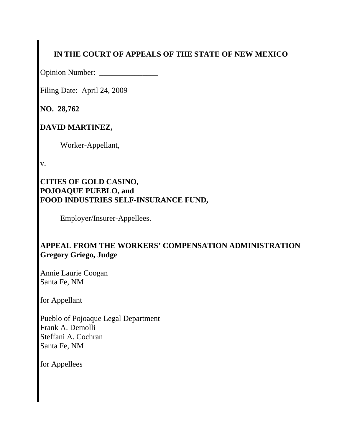# **IN THE COURT OF APPEALS OF THE STATE OF NEW MEXICO**

Opinion Number: \_\_\_\_\_\_\_\_\_\_\_\_\_\_\_

Filing Date: April 24, 2009

**NO. 28,762** 

**DAVID MARTINEZ,**

Worker-Appellant,

v.

### **CITIES OF GOLD CASINO, POJOAQUE PUEBLO, and FOOD INDUSTRIES SELF-INSURANCE FUND,**

Employer/Insurer-Appellees.

## **APPEAL FROM THE WORKERS' COMPENSATION ADMINISTRATION Gregory Griego, Judge**

Annie Laurie Coogan Santa Fe, NM

for Appellant

Pueblo of Pojoaque Legal Department Frank A. Demolli Steffani A. Cochran Santa Fe, NM

for Appellees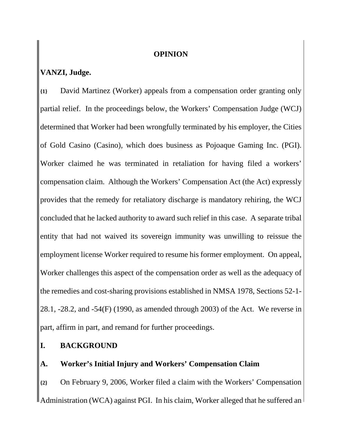#### **OPINION**

### **VANZI, Judge.**

**{1}** David Martinez (Worker) appeals from a compensation order granting only partial relief. In the proceedings below, the Workers' Compensation Judge (WCJ) determined that Worker had been wrongfully terminated by his employer, the Cities of Gold Casino (Casino), which does business as Pojoaque Gaming Inc. (PGI). Worker claimed he was terminated in retaliation for having filed a workers' compensation claim. Although the Workers' Compensation Act (the Act) expressly provides that the remedy for retaliatory discharge is mandatory rehiring, the WCJ concluded that he lacked authority to award such relief in this case. A separate tribal entity that had not waived its sovereign immunity was unwilling to reissue the employment license Worker required to resume his former employment. On appeal, Worker challenges this aspect of the compensation order as well as the adequacy of the remedies and cost-sharing provisions established in NMSA 1978, Sections 52-1- 28.1, -28.2, and -54(F) (1990, as amended through 2003) of the Act. We reverse in part, affirm in part, and remand for further proceedings.

**I. BACKGROUND**

### **A. Worker's Initial Injury and Workers' Compensation Claim**

**{2}** On February 9, 2006, Worker filed a claim with the Workers' Compensation <sup>||</sup> Administration (WCA) against PGI. In his claim, Worker alleged that he suffered an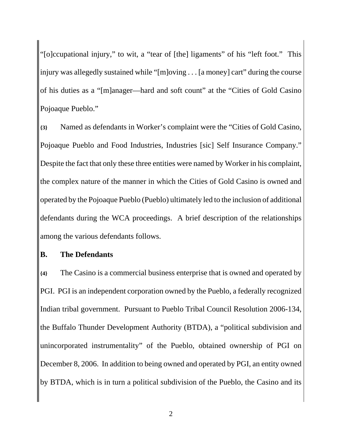"[o]ccupational injury," to wit, a "tear of [the] ligaments" of his "left foot." This injury was allegedly sustained while "[m]oving . . . [a money] cart" during the course of his duties as a "[m]anager—hard and soft count" at the "Cities of Gold Casino Pojoaque Pueblo."

**{3}** Named as defendants in Worker's complaint were the "Cities of Gold Casino, Pojoaque Pueblo and Food Industries, Industries [sic] Self Insurance Company." Despite the fact that only these three entities were named by Worker in his complaint, the complex nature of the manner in which the Cities of Gold Casino is owned and operated by the Pojoaque Pueblo (Pueblo) ultimately led to the inclusion of additional defendants during the WCA proceedings. A brief description of the relationships among the various defendants follows.

### **B. The Defendants**

**{4}** The Casino is a commercial business enterprise that is owned and operated by PGI. PGI is an independent corporation owned by the Pueblo, a federally recognized Indian tribal government. Pursuant to Pueblo Tribal Council Resolution 2006-134, the Buffalo Thunder Development Authority (BTDA), a "political subdivision and unincorporated instrumentality" of the Pueblo, obtained ownership of PGI on December 8, 2006. In addition to being owned and operated by PGI, an entity owned by BTDA, which is in turn a political subdivision of the Pueblo, the Casino and its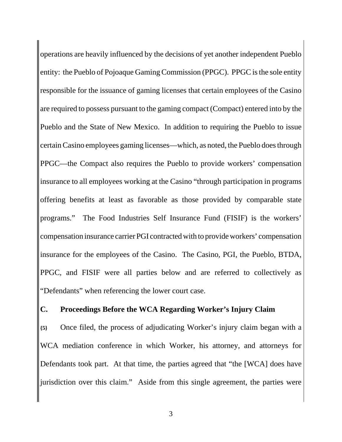operations are heavily influenced by the decisions of yet another independent Pueblo entity: the Pueblo of Pojoaque Gaming Commission (PPGC). PPGC is the sole entity responsible for the issuance of gaming licenses that certain employees of the Casino are required to possess pursuant to the gaming compact (Compact) entered into by the Pueblo and the State of New Mexico. In addition to requiring the Pueblo to issue certain Casino employees gaming licenses—which, as noted, the Pueblo does through PPGC—the Compact also requires the Pueblo to provide workers' compensation insurance to all employees working at the Casino "through participation in programs offering benefits at least as favorable as those provided by comparable state programs." The Food Industries Self Insurance Fund (FISIF) is the workers' compensation insurance carrier PGI contracted with to provide workers' compensation insurance for the employees of the Casino. The Casino, PGI, the Pueblo, BTDA, PPGC, and FISIF were all parties below and are referred to collectively as "Defendants" when referencing the lower court case.

#### **C. Proceedings Before the WCA Regarding Worker's Injury Claim**

**{5}** Once filed, the process of adjudicating Worker's injury claim began with a WCA mediation conference in which Worker, his attorney, and attorneys for Defendants took part. At that time, the parties agreed that "the [WCA] does have jurisdiction over this claim." Aside from this single agreement, the parties were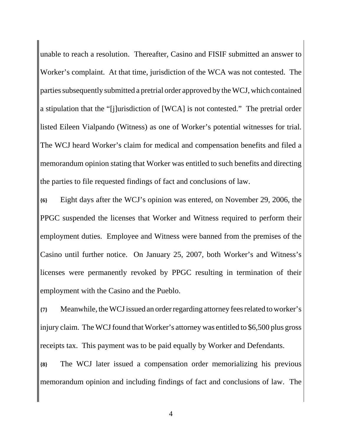unable to reach a resolution. Thereafter, Casino and FISIF submitted an answer to Worker's complaint. At that time, jurisdiction of the WCA was not contested. The parties subsequently submitted a pretrial order approved by the WCJ, which contained a stipulation that the "[j]urisdiction of [WCA] is not contested." The pretrial order listed Eileen Vialpando (Witness) as one of Worker's potential witnesses for trial. The WCJ heard Worker's claim for medical and compensation benefits and filed a memorandum opinion stating that Worker was entitled to such benefits and directing the parties to file requested findings of fact and conclusions of law.

**{6}** Eight days after the WCJ's opinion was entered, on November 29, 2006, the PPGC suspended the licenses that Worker and Witness required to perform their employment duties. Employee and Witness were banned from the premises of the Casino until further notice. On January 25, 2007, both Worker's and Witness's licenses were permanently revoked by PPGC resulting in termination of their employment with the Casino and the Pueblo.

**{7}** Meanwhile, the WCJ issued an order regarding attorney fees related to worker's injury claim. The WCJ found that Worker's attorney was entitled to \$6,500 plus gross receipts tax. This payment was to be paid equally by Worker and Defendants.

**{8}** The WCJ later issued a compensation order memorializing his previous memorandum opinion and including findings of fact and conclusions of law. The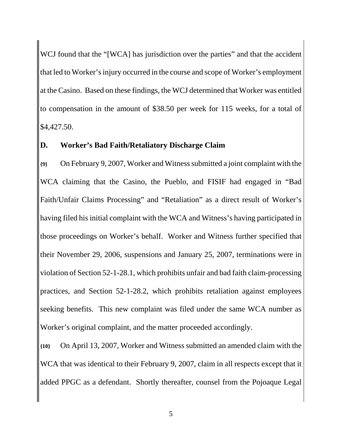WCJ found that the "[WCA] has jurisdiction over the parties" and that the accident that led to Worker's injury occurred in the course and scope of Worker's employment at the Casino. Based on these findings, the WCJ determined that Worker was entitled to compensation in the amount of \$38.50 per week for 115 weeks, for a total of \$4,427.50.

### **D. Worker's Bad Faith/Retaliatory Discharge Claim**

**{9}** On February 9, 2007, Worker and Witness submitted a joint complaint with the WCA claiming that the Casino, the Pueblo, and FISIF had engaged in "Bad Faith/Unfair Claims Processing" and "Retaliation" as a direct result of Worker's having filed his initial complaint with the WCA and Witness's having participated in those proceedings on Worker's behalf. Worker and Witness further specified that their November 29, 2006, suspensions and January 25, 2007, terminations were in violation of Section 52-1-28.1, which prohibits unfair and bad faith claim-processing practices, and Section 52-1-28.2, which prohibits retaliation against employees seeking benefits. This new complaint was filed under the same WCA number as Worker's original complaint, and the matter proceeded accordingly.

**{10}** On April 13, 2007, Worker and Witness submitted an amended claim with the WCA that was identical to their February 9, 2007, claim in all respects except that it added PPGC as a defendant. Shortly thereafter, counsel from the Pojoaque Legal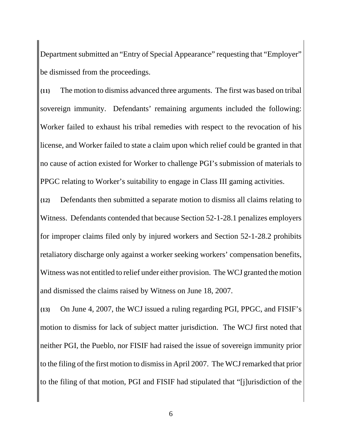Department submitted an "Entry of Special Appearance" requesting that "Employer" be dismissed from the proceedings.

**{11}** The motion to dismiss advanced three arguments. The first was based on tribal sovereign immunity. Defendants' remaining arguments included the following: Worker failed to exhaust his tribal remedies with respect to the revocation of his license, and Worker failed to state a claim upon which relief could be granted in that no cause of action existed for Worker to challenge PGI's submission of materials to PPGC relating to Worker's suitability to engage in Class III gaming activities.

**{12}** Defendants then submitted a separate motion to dismiss all claims relating to Witness. Defendants contended that because Section 52-1-28.1 penalizes employers for improper claims filed only by injured workers and Section 52-1-28.2 prohibits retaliatory discharge only against a worker seeking workers' compensation benefits, Witness was not entitled to relief under either provision. The WCJ granted the motion and dismissed the claims raised by Witness on June 18, 2007.

**{13}** On June 4, 2007, the WCJ issued a ruling regarding PGI, PPGC, and FISIF's motion to dismiss for lack of subject matter jurisdiction. The WCJ first noted that neither PGI, the Pueblo, nor FISIF had raised the issue of sovereign immunity prior to the filing of the first motion to dismiss in April 2007. The WCJ remarked that prior to the filing of that motion, PGI and FISIF had stipulated that "[j]urisdiction of the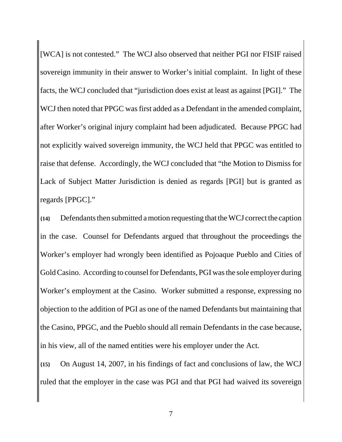[WCA] is not contested." The WCJ also observed that neither PGI nor FISIF raised sovereign immunity in their answer to Worker's initial complaint. In light of these facts, the WCJ concluded that "jurisdiction does exist at least as against [PGI]." The WCJ then noted that PPGC was first added as a Defendant in the amended complaint, after Worker's original injury complaint had been adjudicated. Because PPGC had not explicitly waived sovereign immunity, the WCJ held that PPGC was entitled to raise that defense. Accordingly, the WCJ concluded that "the Motion to Dismiss for Lack of Subject Matter Jurisdiction is denied as regards [PGI] but is granted as regards [PPGC]."

**{14}** Defendants then submitted a motion requesting that the WCJ correct the caption in the case. Counsel for Defendants argued that throughout the proceedings the Worker's employer had wrongly been identified as Pojoaque Pueblo and Cities of Gold Casino. According to counsel for Defendants, PGI was the sole employer during Worker's employment at the Casino. Worker submitted a response, expressing no objection to the addition of PGI as one of the named Defendants but maintaining that the Casino, PPGC, and the Pueblo should all remain Defendants in the case because, in his view, all of the named entities were his employer under the Act.

**{15}** On August 14, 2007, in his findings of fact and conclusions of law, the WCJ ruled that the employer in the case was PGI and that PGI had waived its sovereign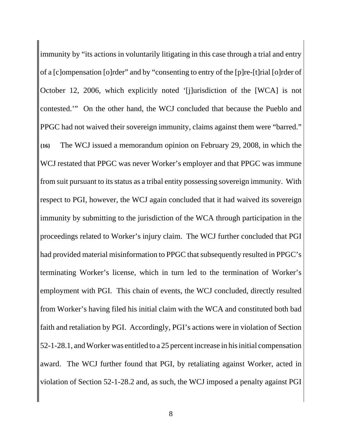immunity by "its actions in voluntarily litigating in this case through a trial and entry of a [c]ompensation [o]rder" and by "consenting to entry of the [p]re-[t]rial [o]rder of October 12, 2006, which explicitly noted '[j]urisdiction of the [WCA] is not contested.'" On the other hand, the WCJ concluded that because the Pueblo and PPGC had not waived their sovereign immunity, claims against them were "barred." **{16}** The WCJ issued a memorandum opinion on February 29, 2008, in which the WCJ restated that PPGC was never Worker's employer and that PPGC was immune from suit pursuant to its status as a tribal entity possessing sovereign immunity. With respect to PGI, however, the WCJ again concluded that it had waived its sovereign immunity by submitting to the jurisdiction of the WCA through participation in the proceedings related to Worker's injury claim. The WCJ further concluded that PGI had provided material misinformation to PPGC that subsequently resulted in PPGC's terminating Worker's license, which in turn led to the termination of Worker's employment with PGI. This chain of events, the WCJ concluded, directly resulted from Worker's having filed his initial claim with the WCA and constituted both bad faith and retaliation by PGI. Accordingly, PGI's actions were in violation of Section 52-1-28.1, and Worker was entitled to a 25 percent increase in his initial compensation award. The WCJ further found that PGI, by retaliating against Worker, acted in violation of Section 52-1-28.2 and, as such, the WCJ imposed a penalty against PGI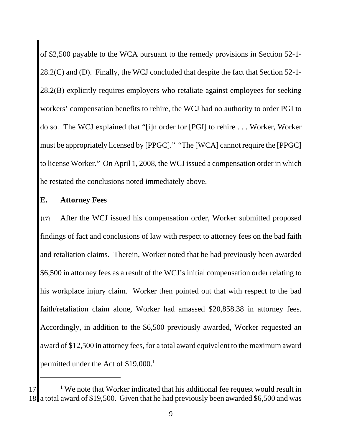of \$2,500 payable to the WCA pursuant to the remedy provisions in Section 52-1- 28.2(C) and (D). Finally, the WCJ concluded that despite the fact that Section 52-1- 28.2(B) explicitly requires employers who retaliate against employees for seeking workers' compensation benefits to rehire, the WCJ had no authority to order PGI to do so. The WCJ explained that "[i]n order for [PGI] to rehire . . . Worker, Worker must be appropriately licensed by [PPGC]." "The [WCA] cannot require the [PPGC] to license Worker." On April 1, 2008, the WCJ issued a compensation order in which he restated the conclusions noted immediately above.

### **E. Attorney Fees**

**{17}** After the WCJ issued his compensation order, Worker submitted proposed findings of fact and conclusions of law with respect to attorney fees on the bad faith and retaliation claims. Therein, Worker noted that he had previously been awarded \$6,500 in attorney fees as a result of the WCJ's initial compensation order relating to his workplace injury claim. Worker then pointed out that with respect to the bad faith/retaliation claim alone, Worker had amassed \$20,858.38 in attorney fees. Accordingly, in addition to the \$6,500 previously awarded, Worker requested an award of \$12,500 in attorney fees, for a total award equivalent to the maximum award permitted under the Act of \$19,000.<sup>1</sup>

 $17$  <sup>1</sup> We note that Worker indicated that his additional fee request would result in  $18$ || a total award of \$19,500. Given that he had previously been awarded \$6,500 and was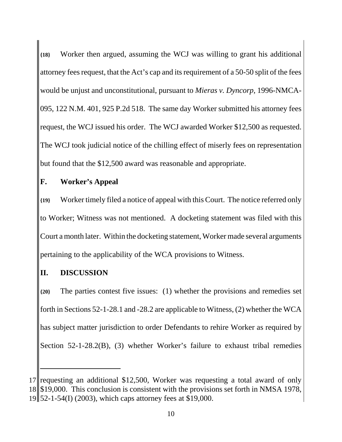**{18}** Worker then argued, assuming the WCJ was willing to grant his additional attorney fees request, that the Act's cap and its requirement of a 50-50 split of the fees would be unjust and unconstitutional, pursuant to *Mieras v. Dyncorp*, 1996-NMCA-095, 122 N.M. 401, 925 P.2d 518. The same day Worker submitted his attorney fees request, the WCJ issued his order. The WCJ awarded Worker \$12,500 as requested. The WCJ took judicial notice of the chilling effect of miserly fees on representation but found that the \$12,500 award was reasonable and appropriate.

## **F. Worker's Appeal**

**{19}** Worker timely filed a notice of appeal with this Court. The notice referred only to Worker; Witness was not mentioned. A docketing statement was filed with this Court a month later. Within the docketing statement, Worker made several arguments pertaining to the applicability of the WCA provisions to Witness.

## **II. DISCUSSION**

**{20}** The parties contest five issues: (1) whether the provisions and remedies set forth in Sections 52-1-28.1 and -28.2 are applicable to Witness, (2) whether the WCA has subject matter jurisdiction to order Defendants to rehire Worker as required by Section 52-1-28.2(B), (3) whether Worker's failure to exhaust tribal remedies

<sup>17</sup> requesting an additional \$12,500, Worker was requesting a total award of only 18 \$19,000. This conclusion is consistent with the provisions set forth in NMSA 1978, 19 52-1-54(I) (2003), which caps attorney fees at \$19,000.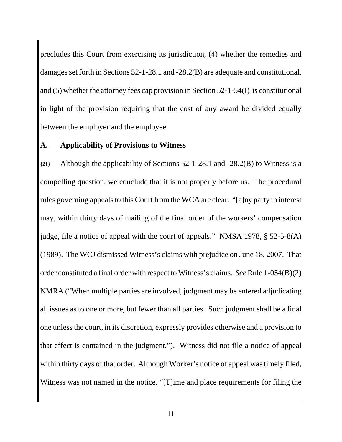precludes this Court from exercising its jurisdiction, (4) whether the remedies and damages set forth in Sections 52-1-28.1 and -28.2(B) are adequate and constitutional, and (5) whether the attorney fees cap provision in Section 52-1-54(I) is constitutional in light of the provision requiring that the cost of any award be divided equally between the employer and the employee.

#### **A. Applicability of Provisions to Witness**

**{21}** Although the applicability of Sections 52-1-28.1 and -28.2(B) to Witness is a compelling question, we conclude that it is not properly before us. The procedural rules governing appeals to this Court from the WCA are clear: "[a]ny party in interest may, within thirty days of mailing of the final order of the workers' compensation judge, file a notice of appeal with the court of appeals." NMSA 1978, § 52-5-8(A) (1989). The WCJ dismissed Witness's claims with prejudice on June 18, 2007. That order constituted a final order with respect to Witness's claims. *See* Rule 1-054(B)(2) NMRA ("When multiple parties are involved, judgment may be entered adjudicating all issues as to one or more, but fewer than all parties. Such judgment shall be a final one unless the court, in its discretion, expressly provides otherwise and a provision to that effect is contained in the judgment."). Witness did not file a notice of appeal within thirty days of that order. Although Worker's notice of appeal was timely filed, Witness was not named in the notice. "[T]ime and place requirements for filing the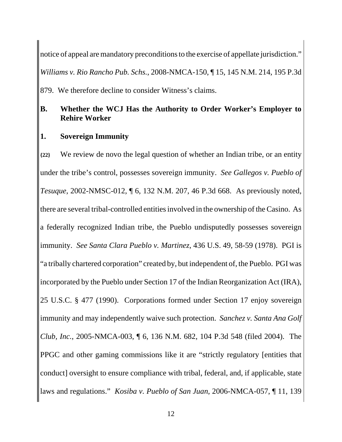notice of appeal are mandatory preconditions to the exercise of appellate jurisdiction." *Williams v. Rio Rancho Pub. Schs.*, 2008-NMCA-150, ¶ 15, 145 N.M. 214, 195 P.3d 879. We therefore decline to consider Witness's claims.

## **B. Whether the WCJ Has the Authority to Order Worker's Employer to Rehire Worker**

#### **1. Sovereign Immunity**

**{22}** We review de novo the legal question of whether an Indian tribe, or an entity under the tribe's control, possesses sovereign immunity. *See Gallegos v. Pueblo of Tesuque*, 2002-NMSC-012, ¶ 6, 132 N.M. 207, 46 P.3d 668. As previously noted, there are several tribal-controlled entities involved in the ownership of the Casino. As a federally recognized Indian tribe, the Pueblo undisputedly possesses sovereign immunity. *See Santa Clara Pueblo v. Martinez*, 436 U.S. 49, 58-59 (1978). PGI is "a tribally chartered corporation" created by, but independent of, the Pueblo. PGI was incorporated by the Pueblo under Section 17 of the Indian Reorganization Act (IRA), 25 U.S.C. § 477 (1990). Corporations formed under Section 17 enjoy sovereign immunity and may independently waive such protection. *Sanchez v. Santa Ana Golf Club, Inc.*, 2005-NMCA-003, ¶ 6, 136 N.M. 682, 104 P.3d 548 (filed 2004). The PPGC and other gaming commissions like it are "strictly regulatory [entities that conduct] oversight to ensure compliance with tribal, federal, and, if applicable, state laws and regulations." *Kosiba v. Pueblo of San Juan*, 2006-NMCA-057, ¶ 11, 139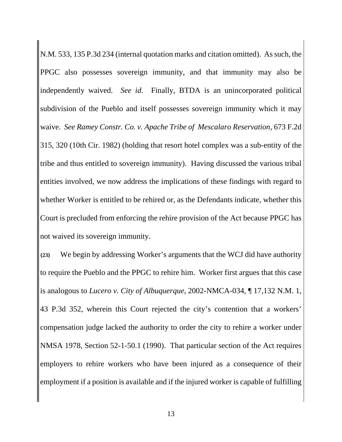N.M. 533, 135 P.3d 234 (internal quotation marks and citation omitted). As such, the PPGC also possesses sovereign immunity, and that immunity may also be independently waived. *See id.* Finally, BTDA is an unincorporated political subdivision of the Pueblo and itself possesses sovereign immunity which it may waive. *See Ramey Constr. Co. v. Apache Tribe of Mescalaro Reservation*, 673 F.2d 315, 320 (10th Cir. 1982) (holding that resort hotel complex was a sub-entity of the tribe and thus entitled to sovereign immunity). Having discussed the various tribal entities involved, we now address the implications of these findings with regard to whether Worker is entitled to be rehired or, as the Defendants indicate, whether this Court is precluded from enforcing the rehire provision of the Act because PPGC has not waived its sovereign immunity.

**{23}** We begin by addressing Worker's arguments that the WCJ did have authority to require the Pueblo and the PPGC to rehire him. Worker first argues that this case is analogous to *Lucero v. City of Albuquerque*, 2002-NMCA-034, ¶ 17,132 N.M. 1, 43 P.3d 352, wherein this Court rejected the city's contention that a workers' compensation judge lacked the authority to order the city to rehire a worker under NMSA 1978, Section 52-1-50.1 (1990). That particular section of the Act requires employers to rehire workers who have been injured as a consequence of their employment if a position is available and if the injured worker is capable of fulfilling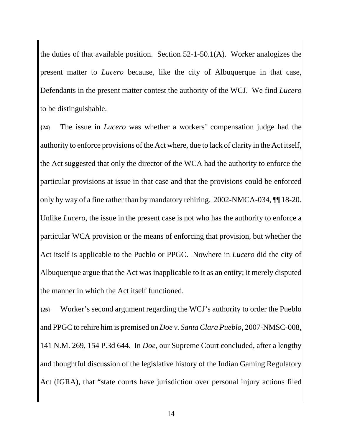the duties of that available position. Section 52-1-50.1(A). Worker analogizes the present matter to *Lucero* because, like the city of Albuquerque in that case, Defendants in the present matter contest the authority of the WCJ. We find *Lucero* to be distinguishable.

**{24}** The issue in *Lucero* was whether a workers' compensation judge had the authority to enforce provisions of the Act where, due to lack of clarity in the Act itself, the Act suggested that only the director of the WCA had the authority to enforce the particular provisions at issue in that case and that the provisions could be enforced only by way of a fine rather than by mandatory rehiring. 2002-NMCA-034, ¶¶ 18-20. Unlike *Lucero*, the issue in the present case is not who has the authority to enforce a particular WCA provision or the means of enforcing that provision, but whether the Act itself is applicable to the Pueblo or PPGC. Nowhere in *Lucero* did the city of Albuquerque argue that the Act was inapplicable to it as an entity; it merely disputed the manner in which the Act itself functioned.

**{25}** Worker's second argument regarding the WCJ's authority to order the Pueblo and PPGC to rehire him is premised on *Doe v. Santa Clara Pueblo*, 2007-NMSC-008, 141 N.M. 269, 154 P.3d 644. In *Doe*, our Supreme Court concluded, after a lengthy and thoughtful discussion of the legislative history of the Indian Gaming Regulatory Act (IGRA), that "state courts have jurisdiction over personal injury actions filed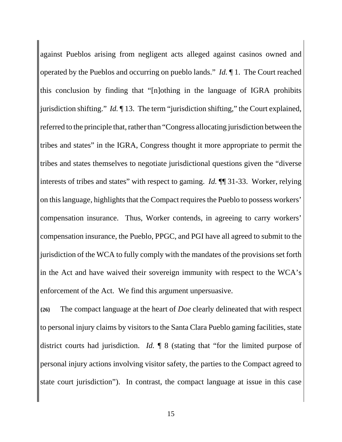against Pueblos arising from negligent acts alleged against casinos owned and operated by the Pueblos and occurring on pueblo lands." *Id.* ¶ 1. The Court reached this conclusion by finding that "[n]othing in the language of IGRA prohibits jurisdiction shifting." *Id.* ¶ 13. The term "jurisdiction shifting," the Court explained, referred to the principle that, rather than "Congress allocating jurisdiction between the tribes and states" in the IGRA, Congress thought it more appropriate to permit the tribes and states themselves to negotiate jurisdictional questions given the "diverse interests of tribes and states" with respect to gaming. *Id.* ¶¶ 31-33. Worker, relying on this language, highlights that the Compact requires the Pueblo to possess workers' compensation insurance. Thus, Worker contends, in agreeing to carry workers' compensation insurance, the Pueblo, PPGC, and PGI have all agreed to submit to the jurisdiction of the WCA to fully comply with the mandates of the provisions set forth in the Act and have waived their sovereign immunity with respect to the WCA's enforcement of the Act. We find this argument unpersuasive.

**{26}** The compact language at the heart of *Doe* clearly delineated that with respect to personal injury claims by visitors to the Santa Clara Pueblo gaming facilities, state district courts had jurisdiction. *Id.* ¶ 8 (stating that "for the limited purpose of personal injury actions involving visitor safety, the parties to the Compact agreed to state court jurisdiction"). In contrast, the compact language at issue in this case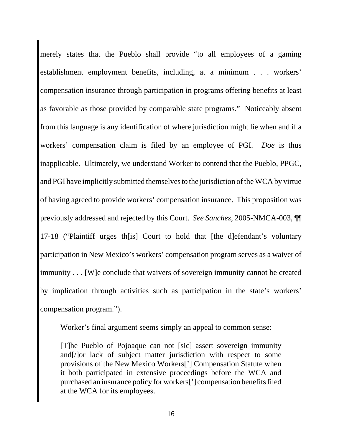merely states that the Pueblo shall provide "to all employees of a gaming establishment employment benefits, including, at a minimum . . . workers' compensation insurance through participation in programs offering benefits at least as favorable as those provided by comparable state programs." Noticeably absent from this language is any identification of where jurisdiction might lie when and if a workers' compensation claim is filed by an employee of PGI. *Doe* is thus inapplicable. Ultimately, we understand Worker to contend that the Pueblo, PPGC, and PGI have implicitly submitted themselves to the jurisdiction of the WCA by virtue of having agreed to provide workers' compensation insurance. This proposition was previously addressed and rejected by this Court. *See Sanchez*, 2005-NMCA-003, ¶¶ 17-18 ("Plaintiff urges th[is] Court to hold that [the d]efendant's voluntary participation in New Mexico's workers' compensation program serves as a waiver of immunity . . . [W]e conclude that waivers of sovereign immunity cannot be created by implication through activities such as participation in the state's workers' compensation program.").

Worker's final argument seems simply an appeal to common sense:

[T]he Pueblo of Pojoaque can not [sic] assert sovereign immunity and[/]or lack of subject matter jurisdiction with respect to some provisions of the New Mexico Workers['] Compensation Statute when it both participated in extensive proceedings before the WCA and purchased an insurance policy for workers['] compensation benefits filed at the WCA for its employees.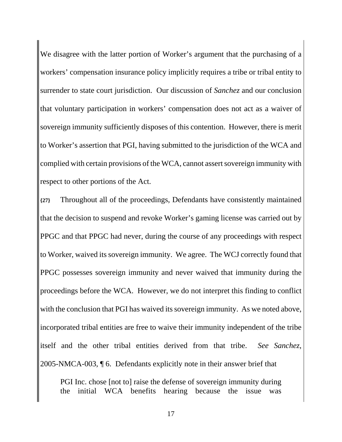We disagree with the latter portion of Worker's argument that the purchasing of a workers' compensation insurance policy implicitly requires a tribe or tribal entity to surrender to state court jurisdiction. Our discussion of *Sanchez* and our conclusion that voluntary participation in workers' compensation does not act as a waiver of sovereign immunity sufficiently disposes of this contention. However, there is merit to Worker's assertion that PGI, having submitted to the jurisdiction of the WCA and complied with certain provisions of the WCA, cannot assert sovereign immunity with respect to other portions of the Act.

**{27}** Throughout all of the proceedings, Defendants have consistently maintained that the decision to suspend and revoke Worker's gaming license was carried out by PPGC and that PPGC had never, during the course of any proceedings with respect to Worker, waived its sovereign immunity. We agree. The WCJ correctly found that PPGC possesses sovereign immunity and never waived that immunity during the proceedings before the WCA. However, we do not interpret this finding to conflict with the conclusion that PGI has waived its sovereign immunity. As we noted above, incorporated tribal entities are free to waive their immunity independent of the tribe itself and the other tribal entities derived from that tribe. *See Sanchez*, 2005-NMCA-003, ¶ 6. Defendants explicitly note in their answer brief that

PGI Inc. chose [not to] raise the defense of sovereign immunity during the initial WCA benefits hearing because the issue was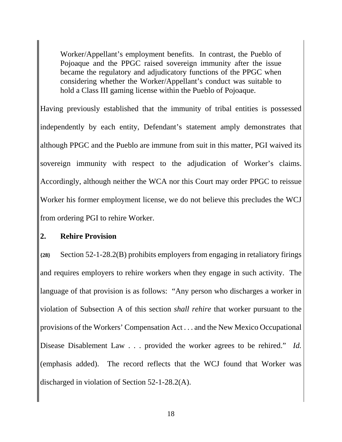Worker/Appellant's employment benefits. In contrast, the Pueblo of Pojoaque and the PPGC raised sovereign immunity after the issue became the regulatory and adjudicatory functions of the PPGC when considering whether the Worker/Appellant's conduct was suitable to hold a Class III gaming license within the Pueblo of Pojoaque.

Having previously established that the immunity of tribal entities is possessed independently by each entity, Defendant's statement amply demonstrates that although PPGC and the Pueblo are immune from suit in this matter, PGI waived its sovereign immunity with respect to the adjudication of Worker's claims. Accordingly, although neither the WCA nor this Court may order PPGC to reissue Worker his former employment license, we do not believe this precludes the WCJ from ordering PGI to rehire Worker.

#### **2. Rehire Provision**

**{28}** Section 52-1-28.2(B) prohibits employers from engaging in retaliatory firings and requires employers to rehire workers when they engage in such activity. The language of that provision is as follows: "Any person who discharges a worker in violation of Subsection A of this section *shall rehire* that worker pursuant to the provisions of the Workers' Compensation Act . . . and the New Mexico Occupational Disease Disablement Law . . . provided the worker agrees to be rehired." *Id.* (emphasis added). The record reflects that the WCJ found that Worker was discharged in violation of Section 52-1-28.2(A).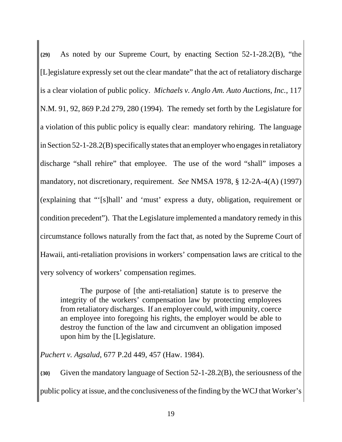**{29}** As noted by our Supreme Court, by enacting Section 52-1-28.2(B), "the [L]egislature expressly set out the clear mandate" that the act of retaliatory discharge is a clear violation of public policy. *Michaels v. Anglo Am. Auto Auctions, Inc.*, 117 N.M. 91, 92, 869 P.2d 279, 280 (1994). The remedy set forth by the Legislature for a violation of this public policy is equally clear: mandatory rehiring. The language in Section 52-1-28.2(B) specifically states that an employer who engages in retaliatory discharge "shall rehire" that employee. The use of the word "shall" imposes a mandatory, not discretionary, requirement. *See* NMSA 1978, § 12-2A-4(A) (1997) (explaining that "'[s]hall' and 'must' express a duty, obligation, requirement or condition precedent"). That the Legislature implemented a mandatory remedy in this circumstance follows naturally from the fact that, as noted by the Supreme Court of Hawaii, anti-retaliation provisions in workers' compensation laws are critical to the very solvency of workers' compensation regimes.

The purpose of [the anti-retaliation] statute is to preserve the integrity of the workers' compensation law by protecting employees from retaliatory discharges. If an employer could, with impunity, coerce an employee into foregoing his rights, the employer would be able to destroy the function of the law and circumvent an obligation imposed upon him by the [L]egislature.

*Puchert v. Agsalud*, 677 P.2d 449, 457 (Haw. 1984).

**{30}** Given the mandatory language of Section 52-1-28.2(B), the seriousness of the public policy at issue, and the conclusiveness of the finding by the WCJ that Worker's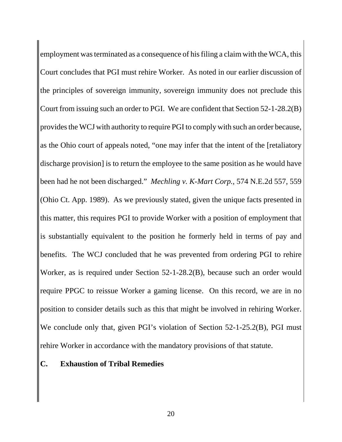employment was terminated as a consequence of his filing a claim with the WCA, this Court concludes that PGI must rehire Worker. As noted in our earlier discussion of the principles of sovereign immunity, sovereign immunity does not preclude this Court from issuing such an order to PGI. We are confident that Section 52-1-28.2(B) provides the WCJ with authority to require PGI to comply with such an order because, as the Ohio court of appeals noted, "one may infer that the intent of the [retaliatory discharge provision] is to return the employee to the same position as he would have been had he not been discharged." *Mechling v. K-Mart Corp.*, 574 N.E.2d 557, 559 (Ohio Ct. App. 1989). As we previously stated, given the unique facts presented in this matter, this requires PGI to provide Worker with a position of employment that is substantially equivalent to the position he formerly held in terms of pay and benefits. The WCJ concluded that he was prevented from ordering PGI to rehire Worker, as is required under Section 52-1-28.2(B), because such an order would require PPGC to reissue Worker a gaming license. On this record, we are in no position to consider details such as this that might be involved in rehiring Worker. We conclude only that, given PGI's violation of Section 52-1-25.2(B), PGI must rehire Worker in accordance with the mandatory provisions of that statute.

#### **C. Exhaustion of Tribal Remedies**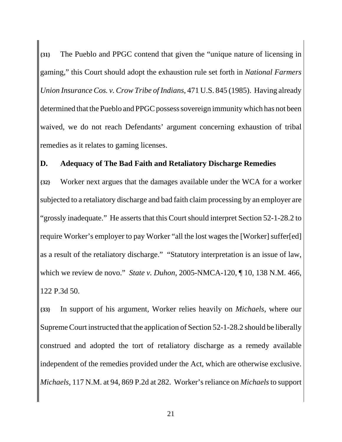**{31}** The Pueblo and PPGC contend that given the "unique nature of licensing in gaming," this Court should adopt the exhaustion rule set forth in *National Farmers Union Insurance Cos. v. Crow Tribe of Indians*, 471 U.S. 845 (1985). Having already determined that the Pueblo and PPGC possess sovereign immunity which has not been waived, we do not reach Defendants' argument concerning exhaustion of tribal remedies as it relates to gaming licenses.

### **D. Adequacy of The Bad Faith and Retaliatory Discharge Remedies**

**{32}** Worker next argues that the damages available under the WCA for a worker subjected to a retaliatory discharge and bad faith claim processing by an employer are "grossly inadequate." He asserts that this Court should interpret Section 52-1-28.2 to require Worker's employer to pay Worker "all the lost wages the [Worker] suffer[ed] as a result of the retaliatory discharge." "Statutory interpretation is an issue of law, which we review de novo." *State v. Duhon*, 2005-NMCA-120, ¶ 10, 138 N.M. 466, 122 P.3d 50.

**{33}** In support of his argument, Worker relies heavily on *Michaels*, where our Supreme Court instructed that the application of Section 52-1-28.2 should be liberally construed and adopted the tort of retaliatory discharge as a remedy available independent of the remedies provided under the Act, which are otherwise exclusive. *Michaels*, 117 N.M. at 94, 869 P.2d at 282. Worker's reliance on *Michaels* to support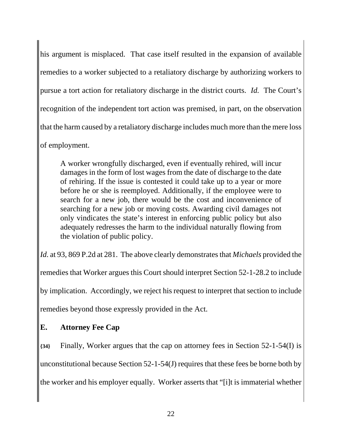his argument is misplaced. That case itself resulted in the expansion of available remedies to a worker subjected to a retaliatory discharge by authorizing workers to pursue a tort action for retaliatory discharge in the district courts. *Id.* The Court's recognition of the independent tort action was premised, in part, on the observation that the harm caused by a retaliatory discharge includes much more than the mere loss of employment.

A worker wrongfully discharged, even if eventually rehired, will incur damages in the form of lost wages from the date of discharge to the date of rehiring. If the issue is contested it could take up to a year or more before he or she is reemployed. Additionally, if the employee were to search for a new job, there would be the cost and inconvenience of searching for a new job or moving costs. Awarding civil damages not only vindicates the state's interest in enforcing public policy but also adequately redresses the harm to the individual naturally flowing from the violation of public policy.

*Id.* at 93, 869 P.2d at 281. The above clearly demonstrates that *Michaels* provided the remedies that Worker argues this Court should interpret Section 52-1-28.2 to include by implication. Accordingly, we reject his request to interpret that section to include remedies beyond those expressly provided in the Act.

## **E. Attorney Fee Cap**

**{34}** Finally, Worker argues that the cap on attorney fees in Section 52-1-54(I) is unconstitutional because Section 52-1-54(J) requires that these fees be borne both by the worker and his employer equally. Worker asserts that "[i]t is immaterial whether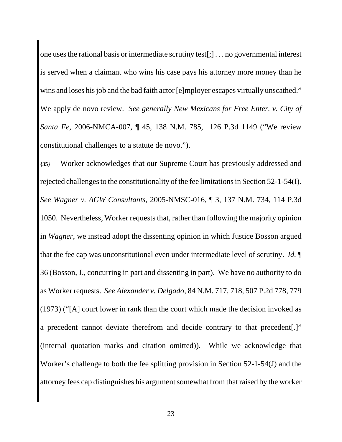one uses the rational basis or intermediate scrutiny test[;] . . . no governmental interest is served when a claimant who wins his case pays his attorney more money than he wins and loses his job and the bad faith actor [e]mployer escapes virtually unscathed." We apply de novo review. *See generally New Mexicans for Free Enter. v. City of Santa Fe*, 2006-NMCA-007, ¶ 45, 138 N.M. 785, 126 P.3d 1149 ("We review constitutional challenges to a statute de novo.").

**{35}** Worker acknowledges that our Supreme Court has previously addressed and rejected challenges to the constitutionality of the fee limitations in Section 52-1-54(I). *See Wagner v. AGW Consultants*, 2005-NMSC-016, ¶ 3, 137 N.M. 734, 114 P.3d 1050. Nevertheless, Worker requests that, rather than following the majority opinion in *Wagner*, we instead adopt the dissenting opinion in which Justice Bosson argued that the fee cap was unconstitutional even under intermediate level of scrutiny. *Id.* ¶ 36 (Bosson, J., concurring in part and dissenting in part). We have no authority to do as Worker requests. *See Alexander v. Delgado*, 84 N.M. 717, 718, 507 P.2d 778, 779 (1973) ("[A] court lower in rank than the court which made the decision invoked as a precedent cannot deviate therefrom and decide contrary to that precedent[.]" (internal quotation marks and citation omitted)). While we acknowledge that Worker's challenge to both the fee splitting provision in Section 52-1-54(J) and the attorney fees cap distinguishes his argument somewhat from that raised by the worker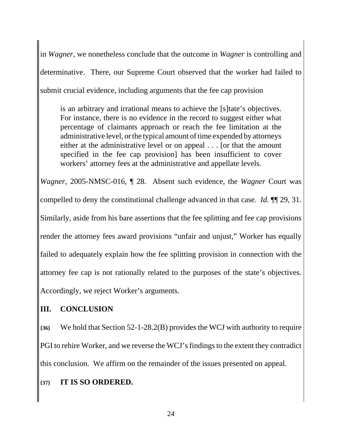in *Wagner*, we nonetheless conclude that the outcome in *Wagner* is controlling and determinative. There, our Supreme Court observed that the worker had failed to submit crucial evidence, including arguments that the fee cap provision

is an arbitrary and irrational means to achieve the [s]tate's objectives. For instance, there is no evidence in the record to suggest either what percentage of claimants approach or reach the fee limitation at the administrative level, or the typical amount of time expended by attorneys either at the administrative level or on appeal . . . [or that the amount specified in the fee cap provision] has been insufficient to cover workers' attorney fees at the administrative and appellate levels.

*Wagner*, 2005-NMSC-016, ¶ 28. Absent such evidence, the *Wagner* Court was compelled to deny the constitutional challenge advanced in that case. *Id.* ¶¶ 29, 31. Similarly, aside from his bare assertions that the fee splitting and fee cap provisions render the attorney fees award provisions "unfair and unjust," Worker has equally failed to adequately explain how the fee splitting provision in connection with the attorney fee cap is not rationally related to the purposes of the state's objectives. Accordingly, we reject Worker's arguments.

## **III. CONCLUSION**

**{36}** We hold that Section 52-1-28.2(B) provides the WCJ with authority to require PGI to rehire Worker, and we reverse the WCJ's findings to the extent they contradict this conclusion. We affirm on the remainder of the issues presented on appeal.

## **{37} IT IS SO ORDERED.**